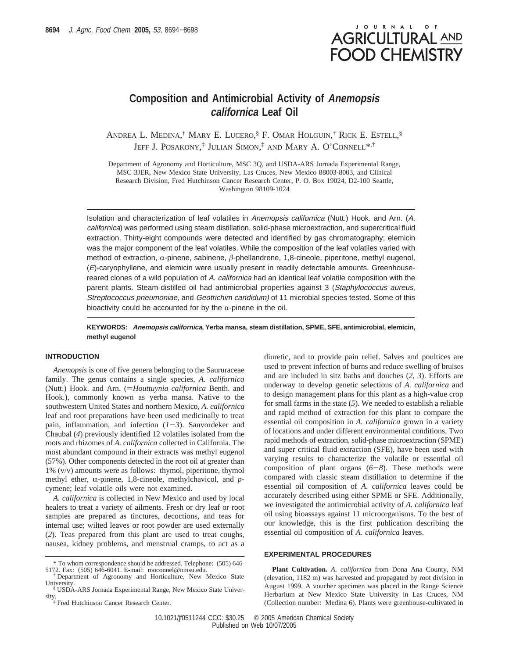# JOURNAL OF **AGRICULTURAL AND FOOD CHEMISTRY**

# **Composition and Antimicrobial Activity of Anemopsis californica Leaf Oil**

ANDREA L. MEDINA, † MARY E. LUCERO, § F. OMAR HOLGUIN, † RICK E. ESTELL, § JEFF J. POSAKONY, ‡ JULIAN SIMON, ‡ AND MARY A. O'CONNELL\*,†

Department of Agronomy and Horticulture, MSC 3Q, and USDA-ARS Jornada Experimental Range, MSC 3JER, New Mexico State University, Las Cruces, New Mexico 88003-8003, and Clinical Research Division, Fred Hutchinson Cancer Research Center, P. O. Box 19024, D2-100 Seattle, Washington 98109-1024

Isolation and characterization of leaf volatiles in Anemopsis californica (Nutt.) Hook. and Arn. (A. californica) was performed using steam distillation, solid-phase microextraction, and supercritical fluid extraction. Thirty-eight compounds were detected and identified by gas chromatography; elemicin was the major component of the leaf volatiles. While the composition of the leaf volatiles varied with method of extraction,  $\alpha$ -pinene, sabinene,  $\beta$ -phellandrene, 1,8-cineole, piperitone, methyl eugenol,  $(E)$ -caryophyllene, and elemicin were usually present in readily detectable amounts. Greenhousereared clones of a wild population of A. californica had an identical leaf volatile composition with the parent plants. Steam-distilled oil had antimicrobial properties against 3 (Staphylococcus aureus, Streptococcus pneumoniae, and Geotrichim candidum) of 11 microbial species tested. Some of this bioactivity could be accounted for by the  $\alpha$ -pinene in the oil.

# **KEYWORDS: Anemopsis californica, Yerba mansa, steam distillation, SPME, SFE, antimicrobial, elemicin, methyl eugenol**

#### **INTRODUCTION**

*Anemopsis* is one of five genera belonging to the Saururaceae family. The genus contains a single species, *A. californica* (Nutt.) Hook. and Arn. (=*Houttuynia californica* Benth. and Hook.), commonly known as yerba mansa. Native to the southwestern United States and northern Mexico, *A. californica* leaf and root preparations have been used medicinally to treat pain, inflammation, and infection  $(I-3)$ . Sanvordeker and Chaubal (*4*) previously identified 12 volatiles isolated from the roots and rhizomes of *A. californica* collected in California. The most abundant compound in their extracts was methyl eugenol (57%). Other components detected in the root oil at greater than 1% (v/v) amounts were as follows: thymol, piperitone, thymol methyl ether,  $\alpha$ -pinene, 1,8-cineole, methylchavicol, and  $p$ cymene; leaf volatile oils were not examined.

*A. californica* is collected in New Mexico and used by local healers to treat a variety of ailments. Fresh or dry leaf or root samples are prepared as tinctures, decoctions, and teas for internal use; wilted leaves or root powder are used externally (*2*). Teas prepared from this plant are used to treat coughs, nausea, kidney problems, and menstrual cramps, to act as a

diuretic, and to provide pain relief. Salves and poultices are used to prevent infection of burns and reduce swelling of bruises and are included in sitz baths and douches (*2*, *3*). Efforts are underway to develop genetic selections of *A. californica* and to design management plans for this plant as a high-value crop for small farms in the state (*5*). We needed to establish a reliable and rapid method of extraction for this plant to compare the essential oil composition in *A. californica* grown in a variety of locations and under different environmental conditions. Two rapid methods of extraction, solid-phase microextraction (SPME) and super critical fluid extraction (SFE), have been used with varying results to characterize the volatile or essential oil composition of plant organs (*6*-*8*). These methods were compared with classic steam distillation to determine if the essential oil composition of *A. californica* leaves could be accurately described using either SPME or SFE. Additionally, we investigated the antimicrobial activity of *A. californica* leaf oil using bioassays against 11 microorganisms. To the best of our knowledge, this is the first publication describing the essential oil composition of *A. californica* leaves.

## **EXPERIMENTAL PROCEDURES**

**Plant Cultivation.** *A. californica* from Dona Ana County, NM (elevation, 1182 m) was harvested and propagated by root division in August 1999. A voucher specimen was placed in the Range Science Herbarium at New Mexico State University in Las Cruces, NM (Collection number: Medina 6). Plants were greenhouse-cultivated in

<sup>\*</sup> To whom correspondence should be addressed. Telephone: (505) 646- 5172. Fax: (505) 646-6041. E-mail: moconnel@nmsu.edu.

<sup>†</sup> Department of Agronomy and Horticulture, New Mexico State University.

<sup>§</sup> USDA-ARS Jornada Experimental Range, New Mexico State University.<br><sup>‡</sup> Fred Hutchinson Cancer Research Center.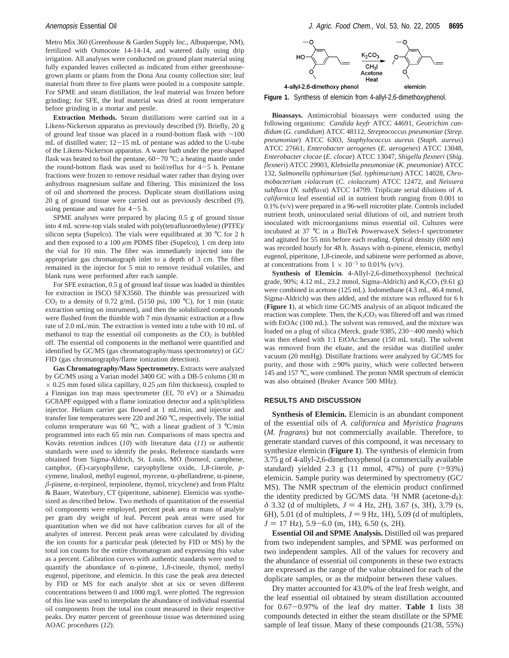Metro Mix 360 (Greenhouse & Garden Supply Inc., Albuquerque, NM), fertilized with Osmocote 14-14-14, and watered daily using drip irrigation. All analyses were conducted on ground plant material using fully expanded leaves collected as indicated from either greenhousegrown plants or plants from the Dona Ana county collection site; leaf material from three to five plants were pooled in a composite sample. For SPME and steam distillation, the leaf material was frozen before grinding; for SFE, the leaf material was dried at room temperature before grinding in a mortar and pestle.

**Extraction Methods.** Steam distillations were carried out in a Likens-Nickerson apparatus as previously described (*9*). Briefly, 20 g of ground leaf tissue was placed in a round-bottom flask with ∼100 mL of distilled water; 12-15 mL of pentane was added to the U-tube of the Likens-Nickerson apparatus. A water bath under the pear-shaped flask was heated to boil the pentane,  $60-70$  °C; a heating mantle under the round-bottom flask was used to boil/reflux for 4-5 h. Pentane fractions were frozen to remove residual water rather than drying over anhydrous magnesium sulfate and filtering. This minimized the loss of oil and shortened the process. Duplicate steam distillations using 20 g of ground tissue were carried out as previously described (*9*), using pentane and water for  $4-5$  h.

SPME analyses were prepared by placing 0.5 g of ground tissue into 4 mL screw-top vials sealed with poly(tetrafluoroethylene) (PTFE)/ silicon septa (Supelco). The vials were equilibrated at 30  $^{\circ}$ C for 2 h and then exposed to a  $100 \mu m$  PDMS fiber (Supelco), 1 cm deep into the vial for 10 min. The fiber was immediately injected into the appropriate gas chromatograph inlet to a depth of 3 cm. The fiber remained in the injector for 5 min to remove residual volatiles, and blank runs were performed after each sample.

For SFE extraction, 0.5 g of ground leaf tissue was loaded in thimbles for extraction in ISCO SFX3560. The thimble was pressurized with  $CO<sub>2</sub>$  to a density of 0.72 g/mL (5150 psi, 100 °C), for 1 min (static extraction setting on instrument), and then the solubilized compounds were flushed from the thimble with 7 min dynamic extraction at a flow rate of 2.0 mL/min. The extraction is vented into a tube with 10 mL of methanol to trap the essential oil components as the  $CO<sub>2</sub>$  is bubbled off. The essential oil components in the methanol were quantified and identified by GC/MS (gas chromatography/mass spectrometry) or GC/ FID (gas chromatography/flame ionization detection).

**Gas Chromatography/Mass Spectrometry.** Extracts were analyzed by GC/MS using a Varian model 3400 GC with a DB-5 column (30 m  $\times$  0.25 mm fused silica capillary, 0.25  $\mu$ m film thickness), coupled to a Finnigan ion trap mass spectrometer (EI, 70 eV) or a Shimadzu GC8APF equipped with a flame ionization detector and a split/splitless injector. Helium carrier gas flowed at 1 mL/min, and injector and transfer line temperatures were 220 and 260 °C, respectively. The initial column temperature was 60 °C, with a linear gradient of 3 °C/min programmed into each 65 min run. Comparisons of mass spectra and Kováts retention indices (*10*) with literature data (*11*) or authentic standards were used to identify the peaks. Reference standards were obtained from Sigma-Aldrich, St. Louis, MO (borneol, camphene, camphor, (*E*)-caryophyllene, caryophyllene oxide, 1,8-cineole, *p*cymene, linalool, methyl eugenol, myrcene,  $\alpha$ -phellandrene,  $\alpha$ -pinene,  $\beta$ -pinene,  $\alpha$ -terpineol, terpinolene, thymol, tricyclene) and from Pfaltz & Bauer, Waterbury, CT (piperitone, sabinene). Elemicin was synthesized as described below. Two methods of quantitation of the essential oil components were employed, percent peak area or mass of analyte per gram dry weight of leaf. Percent peak areas were used for quantitation when we did not have calibration curves for all of the analytes of interest. Percent peak areas were calculated by dividing the ion counts for a particular peak (detected by FID or MS) by the total ion counts for the entire chromatogram and expressing this value as a percent. Calibration curves with authentic standards were used to quantify the abundance of  $\alpha$ -pinene, 1,8-cineole, thymol, methyl eugenol, piperitone, and elemicin. In this case the peak area detected by FID or MS for each analyte shot at six or seven different concentrations between 0 and 1000 mg/L were plotted. The regression of this line was used to interpolate the abundance of individual essential oil components from the total ion count measured in their respective peaks. Dry matter percent of greenhouse tissue was determined using AOAC procedures (*12*).



**Figure 1.** Synthesis of elemicin from 4-allyl-2,6-dimethoxyphenol.

**Bioassays.** Antimicrobial bioassays were conducted using the following organisms: *Candida keyfr* ATCC 44691, *Geotrichim candidum* (*G. candidum*) ATCC 48112, *Streptococcus pneumoniae* (*Strep. pneumoniae*) ATCC 6303, *Staphylococcus aureus* (*Staph. aureus*) ATCC 27661, *Enterobacter aerogenes* (*E. aerogenes*) ATCC 13048, *Enterobacter clocae* (*E. clocae*) ATCC 13047, *Shigella flexneri* (*Shig. flexneri*) ATCC 29903, *Klebsiella pneumoniae* (*K. pneumoniae*) ATCC 132, *Salmonella typhimurium* (*Sal. typhimurium*) ATCC 14028, *Chromobacterium* V*iolaceum* (*C.* V*iolaceum*) ATCC 12472, and *Neissera subfla*V*<sup>a</sup>* (*N. subfla*V*a*) ATCC 14799. Triplicate serial dilutions of *A. californica* leaf essential oil in nutrient broth ranging from 0.001 to 0.1% (v/v) were prepared in a 96-well microtiter plate. Controls included nutrient broth, uninoculated serial dilutions of oil, and nutrient broth inoculated with microorganisms minus essential oil. Cultures were incubated at 37 °C in a BioTek PowerwaveX Select-I spectrometer and agitated for 55 min before each reading. Optical density (600 nm) was recorded hourly for 48 h. Assays with  $\alpha$ -pinene, elemicin, methyl eugenol, piperitone, 1,8-cineole, and sabinene were performed as above, at concentrations from  $1 \times 10^{-5}$  to 0.01% (v/v).

**Synthesis of Elemicin**. 4-Allyl-2,6-dimethoxyphenol (technical grade, 90%; 4.12 mL, 23.2 mmol, Sigma-Aldrich) and  $K_2CO_3$  (9.61 g) were combined in acetone (125 mL). Iodomethane (4.3 mL, 46.4 mmol, Sigma-Aldrich) was then added, and the mixture was refluxed for 6 h (**Figure 1**), at which time GC/MS analysis of an aliquot indicated the reaction was complete. Then, the  $K_2CO_3$  was filtered off and was rinsed with EtOAc (100 mL). The solvent was removed, and the mixture was loaded on a plug of silica (Merck, grade 9385, 230-400 mesh) which was then eluted with 1:1 EtOAc:hexane (150 mL total). The solvent was removed from the eluate, and the residue was distilled under vacuum (20 mmHg). Distillate fractions were analyzed by GC/MS for purity, and those with  $\geq 90\%$  purity, which were collected between 145 and 157 °C, were combined. The proton NMR spectrum of elemicin was also obtained (Bruker Avance 500 MHz).

#### **RESULTS AND DISCUSSION**

**Synthesis of Elemicin.** Elemicin is an abundant component of the essential oils of *A. californica* and *Myristica fragrans* (*M. fragrans*) but not commercially available. Therefore, to generate standard curves of this compound, it was necessary to synthesize elemicin (**Figure 1**). The synthesis of elemicin from 3.75 g of 4-allyl-2,6-dimethoxyphenol (a commercially available standard) yielded 2.3 g  $(11 \text{ mmol}, 47\%)$  of pure  $(>93\%)$ elemicin. Sample purity was determined by spectrometry (GC/ MS). The NMR spectrum of the elemicin product confirmed the identity predicted by GC/MS data. <sup>1</sup>H NMR (acetone- $d_6$ ):  $\delta$  3.32 (d of multiplets,  $J = 4$  Hz, 2H), 3.67 (s, 3H), 3.79 (s, 6H), 5.01 (d of multiplets,  $J = 9$  Hz, 1H), 5.09 (d of multiplets,  $J = 17$  Hz), 5.9-6.0 (m, 1H), 6.50 (s, 2H).

**Essential Oil and SPME Analysis.** Distilled oil was prepared from two independent samples, and SPME was performed on two independent samples. All of the values for recovery and the abundance of essential oil components in these two extracts are expressed as the range of the value obtained for each of the duplicate samples, or as the midpoint between these values.

Dry matter accounted for 43.0% of the leaf fresh weight, and the leaf essential oil obtained by steam distillation accounted for 0.67-0.97% of the leaf dry matter. **Table 1** lists 38 compounds detected in either the steam distillate or the SPME sample of leaf tissue. Many of these compounds (21/38, 55%)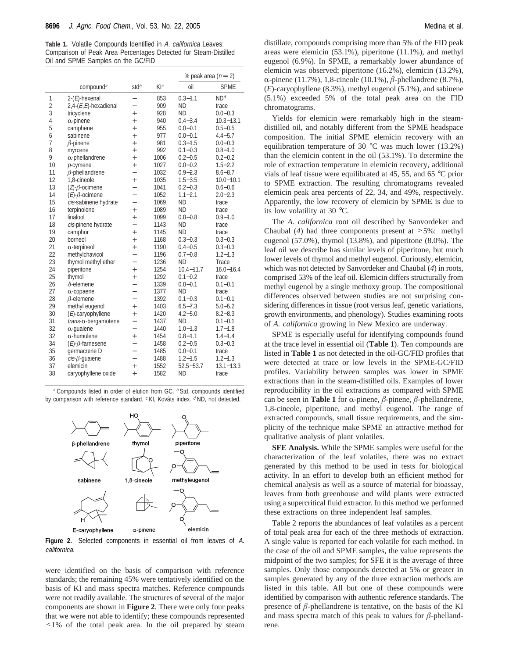**Table 1.** Volatile Compounds Identified in A. californica Leaves: Comparison of Peak Area Percentages Detected for Steam-Distilled Oil and SPME Samples on the GC/FID

|    |                             |                          |      |               | % peak area $(n=2)$ |  |
|----|-----------------------------|--------------------------|------|---------------|---------------------|--|
|    | compound <sup>a</sup>       | std <sup>b</sup>         | K[c] | oil           | <b>SPME</b>         |  |
| 1  | $2-(E)$ -hexenal            |                          | 853  | $0.3 - 1.1$   | ND <sup>d</sup>     |  |
| 2  | $2,4-(E,E)$ -hexadienal     |                          | 909  | <b>ND</b>     | trace               |  |
| 3  | tricyclene                  | $^{+}$                   | 928  | <b>ND</b>     | $0.0 - 0.3$         |  |
| 4  | $\alpha$ -pinene            | $^{+}$                   | 940  | $0.4 - 3.4$   | $10.3 - 13.1$       |  |
| 5  | camphene                    | $^{+}$                   | 955  | $0.0 - 0.1$   | $0.5 - 0.5$         |  |
| 6  | sabinene                    | $+$                      | 977  | $0.0 - 0.1$   | $4.4 - 5.7$         |  |
| 7  | $\beta$ -pinene             | $^{+}$                   | 981  | $0.3 - 1.5$   | $0.0 - 0.3$         |  |
| 8  | myrcene                     | $^{+}$                   | 992  | $0.1 - 0.3$   | $0.8 - 1.0$         |  |
| 9  | $\alpha$ -phellandrene      | $^{+}$                   | 1006 | $0.2 - 0.5$   | $0.2 - 0.2$         |  |
| 10 | p-cymene                    | $^{+}$                   | 1027 | $0.0 - 0.2$   | $1.5 - 2.2$         |  |
| 11 | $\beta$ -phellandrene       | $\overline{\phantom{0}}$ | 1032 | $0.9 - 2.3$   | $8.6 - 8.7$         |  |
| 12 | 1,8-cineole                 | $^{+}$                   | 1035 | $1.5 - 3.5$   | $10.0 - 10.1$       |  |
| 13 | $(Z)-\beta$ -ocimene        | $\overline{\phantom{0}}$ | 1041 | $0.2 - 0.3$   | $0.6 - 0.6$         |  |
| 14 | $(E)$ - $\beta$ -ocimene    | $\overline{\phantom{0}}$ | 1052 | $1.1 - 2.1$   | $2.0 - 2.3$         |  |
| 15 | cis-sabinene hydrate        | $-$                      | 1069 | <b>ND</b>     | trace               |  |
| 16 | terpinolene                 | $^{+}$                   | 1089 | <b>ND</b>     | trace               |  |
| 17 | linalool                    | $^{+}$                   | 1099 | $0.8 - 0.8$   | $0.9 - 1.0$         |  |
| 18 | cis-pinene hydrate          | $\overline{a}$           | 1143 | <b>ND</b>     | trace               |  |
| 19 | camphor                     | $^{+}$                   | 1145 | <b>ND</b>     | trace               |  |
| 20 | borneol                     | $^{+}$                   | 1168 | $0.3 - 0.3$   | $0.3 - 0.3$         |  |
| 21 | $\alpha$ -terpineol         | $^{+}$                   | 1190 | $0.4 - 0.5$   | $0.3 - 0.3$         |  |
| 22 | methylchavicol              |                          | 1196 | $0.7 - 0.8$   | $1.2 - 1.3$         |  |
| 23 | thymol methyl ether         | $\overline{\phantom{0}}$ | 1236 | <b>ND</b>     | Trace               |  |
| 24 | piperitone                  | $^{+}$                   | 1254 | $10.4 - 11.7$ | $16.0 - 16.4$       |  |
| 25 | thymol                      | $^{+}$                   | 1292 | $0.1 - 0.2$   | trace               |  |
| 26 | $\delta$ -elemene           | $\overline{\phantom{0}}$ | 1339 | $0.0 - 0.1$   | $0.1 - 0.1$         |  |
| 27 | $\alpha$ -copaene           | $\overline{\phantom{0}}$ | 1377 | <b>ND</b>     | trace               |  |
| 28 | $\beta$ -elemene            |                          | 1392 | $0.1 - 0.3$   | $0.1 - 0.1$         |  |
| 29 | methyl eugenol              | $^{+}$                   | 1403 | $6.5 - 7.3$   | $5.0 - 5.2$         |  |
| 30 | $(E)$ -caryophyllene        | $^{+}$                   | 1420 | $4.2 - 5.0$   | $8.2 - 8.3$         |  |
| 31 | $trans-\alpha$ -bergamotene | $-$                      | 1437 | <b>ND</b>     | $0.1 - 0.1$         |  |
| 32 | $\alpha$ -quaiene           | $\overline{\phantom{0}}$ | 1440 | $1.0 - 1.3$   | $1.7 - 1.8$         |  |
| 32 | $\alpha$ -humulene          | $^{+}$                   | 1454 | $0.8 - 1.1$   | $1.4 - 1.4$         |  |
| 34 | $(E)$ - $\beta$ -farnesene  | $\overline{a}$           | 1458 | $0.2 - 0.5$   | $0.3 - 0.3$         |  |
| 35 | germacrene D                | $\equiv$                 | 1485 | $0.0 - 0.1$   | trace               |  |
| 36 | $cis$ - $\beta$ -guaiene    |                          | 1488 | $1.2 - 1.5$   | $1.2 - 1.3$         |  |
| 37 | elemicin                    | $^{+}$                   | 1552 | $52.5 - 53.7$ | $13.1 - 13.3$       |  |
| 38 | caryophyllene oxide         | $^{+}$                   | 1582 | ND            | trace               |  |

 $a$  Compounds listed in order of elution from GC.  $b$  Std, compounds identified by comparison with reference standard.  $c$  KI, Kováts index.  $d$  ND, not detected.



**Figure 2.** Selected components in essential oil from leaves of A. californica.

were identified on the basis of comparison with reference standards; the remaining 45% were tentatively identified on the basis of KI and mass spectra matches. Reference compounds were not readily available. The structures of several of the major components are shown in **Figure 2**. There were only four peaks that we were not able to identify; these compounds represented <1% of the total peak area. In the oil prepared by steam

distillate, compounds comprising more than 5% of the FID peak areas were elemicin (53.1%), piperitone (11.1%), and methyl eugenol (6.9%). In SPME, a remarkably lower abundance of elemicin was observed; piperitone (16.2%), elemicin (13.2%), R-pinene (11.7%), 1,8-cineole (10.1%), *<sup>â</sup>*-phellandrene (8.7%), (*E*)-caryophyllene (8.3%), methyl eugenol (5.1%), and sabinene (5.1%) exceeded 5% of the total peak area on the FID chromatograms.

Yields for elemicin were remarkably high in the steamdistilled oil, and notably different from the SPME headspace composition. The initial SPME elemicin recovery with an equilibration temperature of 30 °C was much lower (13.2%) than the elemicin content in the oil (53.1%). To determine the role of extraction temperature in elemicin recovery, additional vials of leaf tissue were equilibrated at 45, 55, and 65 °C prior to SPME extraction. The resulting chromatograms revealed elemicin peak area percents of 22, 34, and 49%, respectively. Apparently, the low recovery of elemicin by SPME is due to its low volatility at 30 °C.

The *A. californica* root oil described by Sanvordeker and Chaubal (*4*) had three components present at >5%: methyl eugenol (57.0%), thymol (13.8%), and piperitone (8.0%). The leaf oil we describe has similar levels of piperitone, but much lower levels of thymol and methyl eugenol. Curiously, elemicin, which was not detected by Sanvordeker and Chaubal (*4*) in roots, comprised 53% of the leaf oil. Elemicin differs structurally from methyl eugenol by a single methoxy group. The compositional differences observed between studies are not surprising considering differences in tissue (root versus leaf, genetic variations, growth environments, and phenology). Studies examining roots of *A. californica* growing in New Mexico are underway.

SPME is especially useful for identifying compounds found at the trace level in essential oil (**Table 1**). Ten compounds are listed in **Table 1** as not detected in the oil-GC/FID profiles that were detected at trace or low levels in the SPME-GC/FID profiles. Variability between samples was lower in SPME extractions than in the steam-distilled oils. Examples of lower reproducibility in the oil extractions as compared with SPME can be seen in **Table 1** for  $\alpha$ -pinene,  $\beta$ -pinene,  $\beta$ -phellandrene, 1,8-cineole, piperitone, and methyl eugenol. The range of extracted compounds, small tissue requirements, and the simplicity of the technique make SPME an attractive method for qualitative analysis of plant volatiles.

**SFE Analysis.** While the SPME samples were useful for the characterization of the leaf volatiles, there was no extract generated by this method to be used in tests for biological activity. In an effort to develop both an efficient method for chemical analysis as well as a source of material for bioassay, leaves from both greenhouse and wild plants were extracted using a supercritical fluid extractor. In this method we performed these extractions on three independent leaf samples.

Table 2 reports the abundances of leaf volatiles as a percent of total peak area for each of the three methods of extraction. A single value is reported for each volatile for each method. In the case of the oil and SPME samples, the value represents the midpoint of the two samples; for SFE it is the average of three samples. Only those compounds detected at 5% or greater in samples generated by any of the three extraction methods are listed in this table. All but one of these compounds were identified by comparison with authentic reference standards. The presence of  $\beta$ -phellandrene is tentative, on the basis of the KI and mass spectra match of this peak to values for  $\beta$ -phellandrene.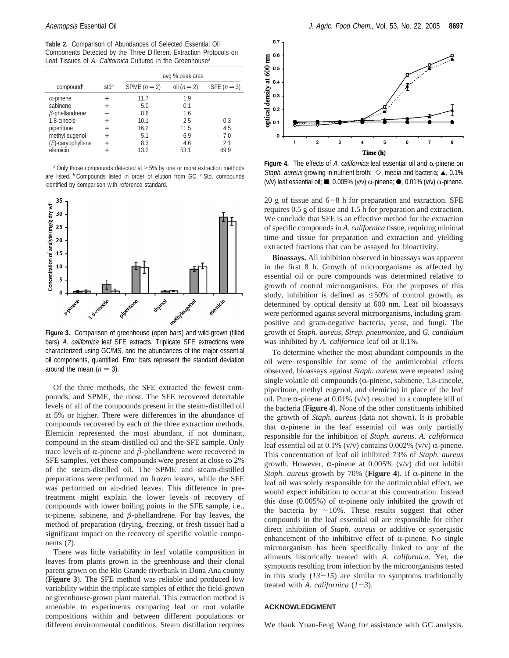**Table 2.** Comparison of Abundances of Selected Essential Oil Components Detected by the Three Different Extraction Protocols on Leaf Tissues of A. Californica Cultured in the Greenhouse<sup>a</sup>

|                       |                  |              | avg % peak area |             |
|-----------------------|------------------|--------------|-----------------|-------------|
| compound <sup>b</sup> | std <sup>c</sup> | SPME $(n=2)$ | oil $(n=2)$     | SFE $(n=3)$ |
| $\alpha$ -pinene      | $^{+}$           | 11.7         | 1.9             |             |
| sabinene              | $^{+}$           | 5.0          | 0.1             |             |
| $\beta$ -phellandrene |                  | 8.6          | 1.6             |             |
| 1.8-cineole           | $^+$             | 10.1         | 2.5             | 0.3         |
| piperitone            | $^{+}$           | 16.2         | 11.5            | 4.5         |
| methyl eugenol        | $^{+}$           | 5.1          | 6.9             | 7.0         |
| (E)-caryophyllene     | $^{+}$           | 8.3          | 4.6             | 2.1         |
| elemicin              | $^{+}$           | 13.2         | 53.1            | 69.9        |

 $a$  Only those compounds detected at  $\geq$ 5% by one or more extraction methods are listed.  $b$  Compounds listed in order of elution from GC.  $c$  Std, compounds identified by comparison with reference standard.



**Figure 3.** Comparison of greenhouse (open bars) and wild-grown (filled bars) A. californica leaf SFE extracts. Triplicate SFE extractions were characterized using GC/MS, and the abundances of the major essential oil components, quantified. Error bars represent the standard deviation around the mean  $(n = 3)$ .

Of the three methods, the SFE extracted the fewest compounds, and SPME, the most. The SFE recovered detectable levels of all of the compounds present in the steam-distilled oil at 5% or higher. There were differences in the abundance of compounds recovered by each of the three extraction methods. Elemicin represented the most abundant, if not dominant, compound in the steam-distilled oil and the SFE sample. Only trace levels of  $\alpha$ -pinene and  $\beta$ -phellandrene were recovered in SFE samples, yet these compounds were present at close to 2% of the steam-distilled oil. The SPME and steam-distilled preparations were performed on frozen leaves, while the SFE was performed on air-dried leaves. This difference in pretreatment might explain the lower levels of recovery of compounds with lower boiling points in the SFE sample, i.e.,  $\alpha$ -pinene, sabinene, and  $\beta$ -phellandrene. For bay leaves, the method of preparation (drying, freezing, or fresh tissue) had a significant impact on the recovery of specific volatile components (*7*).

There was little variability in leaf volatile composition in leaves from plants grown in the greenhouse and their clonal parent grown on the Rio Grande riverbank in Dona Ana county (**Figure 3**). The SFE method was reliable and produced low variability within the triplicate samples of either the field-grown or greenhouse-grown plant material. This extraction method is amenable to experiments comparing leaf or root volatile compositions within and between different populations or different environmental conditions. Steam distillation requires



**Figure 4.** The effects of A. californica leaf essential oil and  $\alpha$ -pinene on Staph. aureus growing in nutrient broth:  $\Diamond$ , media and bacteria;  $\blacktriangle$ , 0.1% (v/v) leaf essential oil; **...** 0.005% (v/v)  $\alpha$ -pinene;  $\bullet$ , 0.01% (v/v)  $\alpha$ -pinene.

20 g of tissue and  $6-8$  h for preparation and extraction. SFE requires 0.5 g of tissue and 1.5 h for preparation and extraction. We conclude that SFE is an effective method for the extraction of specific compounds in *A. californica* tissue, requiring minimal time and tissue for preparation and extraction and yielding extracted fractions that can be assayed for bioactivity.

**Bioassays.** All inhibition observed in bioassays was apparent in the first 8 h. Growth of microorganisms as affected by essential oil or pure compounds was determined relative to growth of control microorganisms. For the purposes of this study, inhibition is defined as  $\leq 50\%$  of control growth, as determined by optical density at 600 nm. Leaf oil bioassays were performed against several microorganisms, including grampositive and gram-negative bacteria, yeast, and fungi. The growth of *Staph. aureus*, *Strep. pneumoniae*, and *G. candidum* was inhibited by *A. californica* leaf oil at 0.1%.

To determine whether the most abundant compounds in the oil were responsible for some of the antimicrobial effects observed, bioassays against *Staph. aureus* were repeated using single volatile oil compounds ( $\alpha$ -pinene, sabinene, 1,8-cineole, piperitone, methyl eugenol, and elemicin) in place of the leaf oil. Pure  $\alpha$ -pinene at 0.01% (v/v) resulted in a complete kill of the bacteria (**Figure 4**). None of the other constituents inhibited the growth of *Staph. aureus* (data not shown). It is probable that  $\alpha$ -pinene in the leaf essential oil was only partially responsible for the inhibition of *Staph. aureus*. *A. californica* leaf essential oil at 0.1% (v/v) contains 0.002% (v/v)  $\alpha$ -pinene. This concentration of leaf oil inhibited 73% of *Staph. aureus* growth. However,  $\alpha$ -pinene at 0.005% (v/v) did not inhibit *Staph. aureus* growth by 70% (**Figure 4**). If  $\alpha$ -pinene in the leaf oil was solely responsible for the antimicrobial effect, we would expect inhibition to occur at this concentration. Instead this dose  $(0.005\%)$  of  $\alpha$ -pinene only inhibited the growth of the bacteria by ∼10%. These results suggest that other compounds in the leaf essential oil are responsible for either direct inhibition of *Staph. aureus* or additive or synergistic enhancement of the inhibitive effect of  $\alpha$ -pinene. No single microorganism has been specifically linked to any of the ailments historically treated with *A. californica*. Yet, the symptoms resulting from infection by the microorganisms tested in this study  $(13-15)$  are similar to symptoms traditionally treated with *A. californica*  $(1-3)$ .

## **ACKNOWLEDGMENT**

We thank Yuan-Feng Wang for assistance with GC analysis.